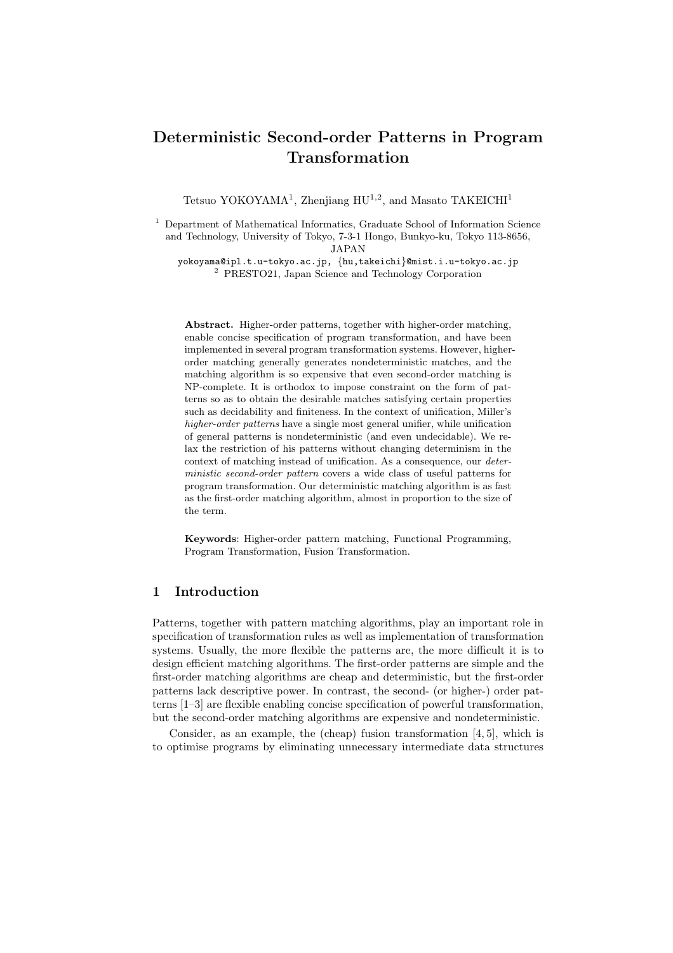# Deterministic Second-order Patterns in Program Transformation

Tetsuo YOKOYAMA<sup>1</sup>, Zhenjiang  $HU^{1,2}$ , and Masato TAKEICHI<sup>1</sup>

<sup>1</sup> Department of Mathematical Informatics, Graduate School of Information Science and Technology, University of Tokyo, 7-3-1 Hongo, Bunkyo-ku, Tokyo 113-8656, JAPAN

yokoyama@ipl.t.u-tokyo.ac.jp, {hu,takeichi}@mist.i.u-tokyo.ac.jp <sup>2</sup> PRESTO21, Japan Science and Technology Corporation

Abstract. Higher-order patterns, together with higher-order matching, enable concise specification of program transformation, and have been implemented in several program transformation systems. However, higherorder matching generally generates nondeterministic matches, and the matching algorithm is so expensive that even second-order matching is NP-complete. It is orthodox to impose constraint on the form of patterns so as to obtain the desirable matches satisfying certain properties such as decidability and finiteness. In the context of unification, Miller's higher-order patterns have a single most general unifier, while unification of general patterns is nondeterministic (and even undecidable). We relax the restriction of his patterns without changing determinism in the context of matching instead of unification. As a consequence, our deterministic second-order pattern covers a wide class of useful patterns for program transformation. Our deterministic matching algorithm is as fast as the first-order matching algorithm, almost in proportion to the size of the term.

Keywords: Higher-order pattern matching, Functional Programming, Program Transformation, Fusion Transformation.

### 1 Introduction

Patterns, together with pattern matching algorithms, play an important role in specification of transformation rules as well as implementation of transformation systems. Usually, the more flexible the patterns are, the more difficult it is to design efficient matching algorithms. The first-order patterns are simple and the first-order matching algorithms are cheap and deterministic, but the first-order patterns lack descriptive power. In contrast, the second- (or higher-) order patterns [1–3] are flexible enabling concise specification of powerful transformation, but the second-order matching algorithms are expensive and nondeterministic.

Consider, as an example, the (cheap) fusion transformation [4, 5], which is to optimise programs by eliminating unnecessary intermediate data structures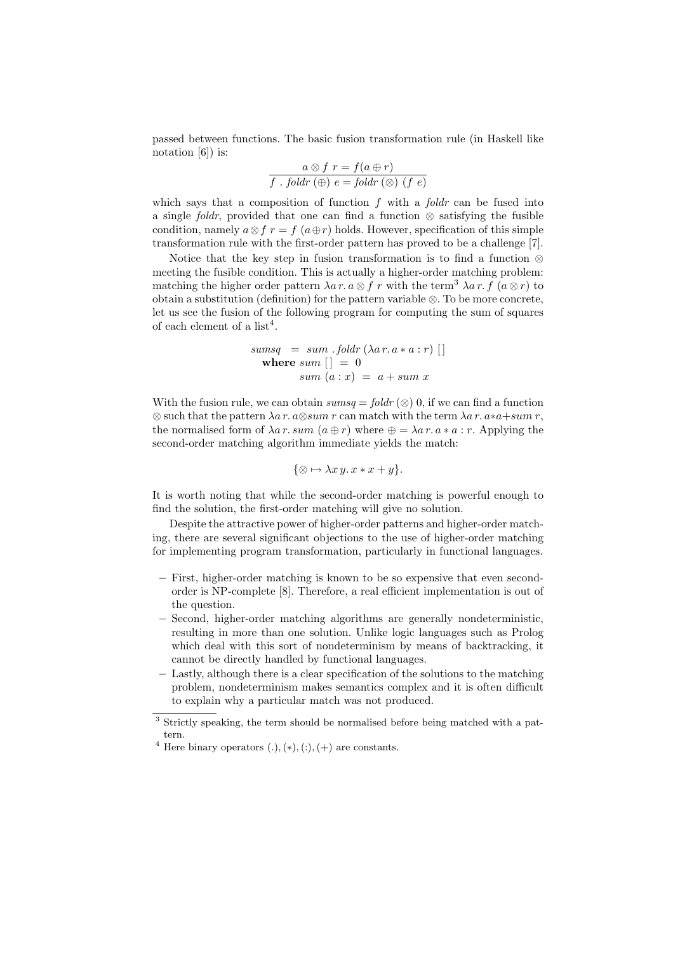passed between functions. The basic fusion transformation rule (in Haskell like notation [6]) is:

$$
a \otimes f r = f(a \oplus r)
$$
  

$$
f \cdot foldr \left(\oplus\right) e = foldr \left(\otimes\right) \left(f e\right)
$$

which says that a composition of function  $f$  with a  $f$ oldr can be fused into a single foldr, provided that one can find a function  $\otimes$  satisfying the fusible condition, namely  $a \otimes f r = f (a \oplus r)$  holds. However, specification of this simple transformation rule with the first-order pattern has proved to be a challenge [7].

Notice that the key step in fusion transformation is to find a function ⊗ meeting the fusible condition. This is actually a higher-order matching problem: matching the higher order pattern  $\lambda a r.a \otimes f r$  with the term<sup>3</sup>  $\lambda a r.f$  ( $a \otimes r$ ) to obtain a substitution (definition) for the pattern variable  $\otimes$ . To be more concrete, let us see the fusion of the following program for computing the sum of squares of each element of a list<sup>4</sup>.

\n
$$
\text{sumsq} = \text{sum} \cdot \text{foldr} \left( \lambda a \, r \cdot a \, * \, a : r \right) \left[ \right]
$$
\n

\n\n $\text{where } \text{sum} \left[ \right] = 0$ \n

\n\n $\text{sum} \left( a : x \right) = a + \text{sum} \, x$ \n

With the fusion rule, we can obtain  $sumsq = foldr \ (\otimes) 0$ , if we can find a function  $\otimes$  such that the pattern  $\lambda a r. a \otimes sum r$  can match with the term  $\lambda a r. a * a + sum r$ , the normalised form of  $\lambda a r. sum (a \oplus r)$  where  $\oplus = \lambda a r. a * a : r$ . Applying the second-order matching algorithm immediate yields the match:

$$
\{\otimes \mapsto \lambda x y. x * x + y\}.
$$

It is worth noting that while the second-order matching is powerful enough to find the solution, the first-order matching will give no solution.

Despite the attractive power of higher-order patterns and higher-order matching, there are several significant objections to the use of higher-order matching for implementing program transformation, particularly in functional languages.

- First, higher-order matching is known to be so expensive that even secondorder is NP-complete [8]. Therefore, a real efficient implementation is out of the question.
- Second, higher-order matching algorithms are generally nondeterministic, resulting in more than one solution. Unlike logic languages such as Prolog which deal with this sort of nondeterminism by means of backtracking, it cannot be directly handled by functional languages.
- Lastly, although there is a clear specification of the solutions to the matching problem, nondeterminism makes semantics complex and it is often difficult to explain why a particular match was not produced.

<sup>3</sup> Strictly speaking, the term should be normalised before being matched with a pattern.

<sup>&</sup>lt;sup>4</sup> Here binary operators  $(.), (*), (:), (+)$  are constants.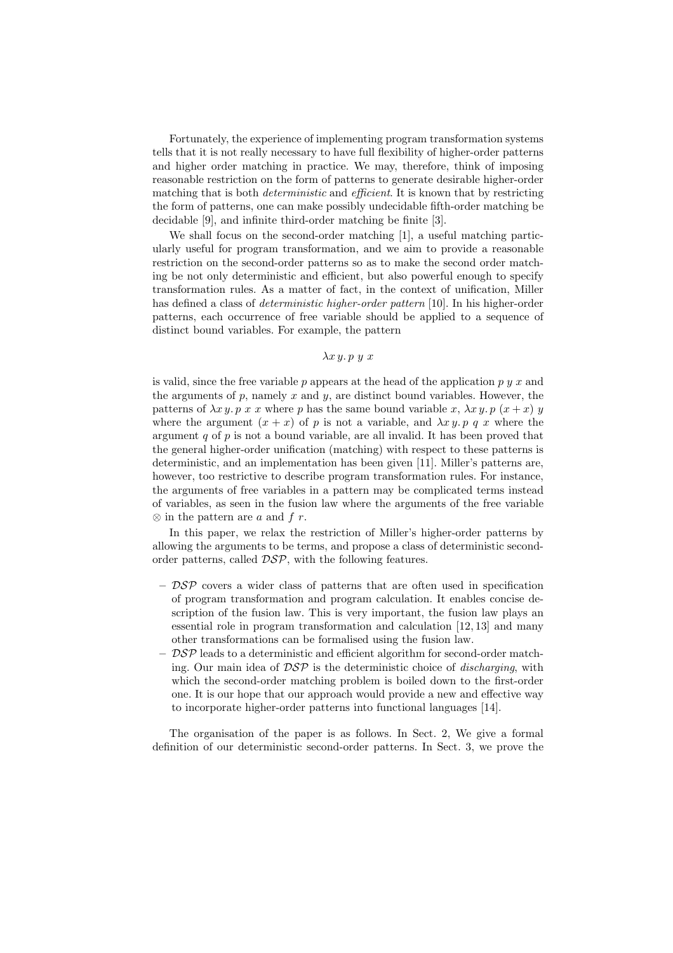Fortunately, the experience of implementing program transformation systems tells that it is not really necessary to have full flexibility of higher-order patterns and higher order matching in practice. We may, therefore, think of imposing reasonable restriction on the form of patterns to generate desirable higher-order matching that is both *deterministic* and *efficient*. It is known that by restricting the form of patterns, one can make possibly undecidable fifth-order matching be decidable [9], and infinite third-order matching be finite [3].

We shall focus on the second-order matching [1], a useful matching particularly useful for program transformation, and we aim to provide a reasonable restriction on the second-order patterns so as to make the second order matching be not only deterministic and efficient, but also powerful enough to specify transformation rules. As a matter of fact, in the context of unification, Miller has defined a class of deterministic higher-order pattern [10]. In his higher-order patterns, each occurrence of free variable should be applied to a sequence of distinct bound variables. For example, the pattern

#### $λx y. p y x$

is valid, since the free variable p appears at the head of the application p  $y \, y$  and the arguments of  $p$ , namely  $x$  and  $y$ , are distinct bound variables. However, the patterns of  $\lambda x y$ . p x x where p has the same bound variable x,  $\lambda x y$ . p  $(x + x) y$ where the argument  $(x + x)$  of p is not a variable, and  $\lambda x y$ , p q x where the argument  $q$  of  $p$  is not a bound variable, are all invalid. It has been proved that the general higher-order unification (matching) with respect to these patterns is deterministic, and an implementation has been given [11]. Miller's patterns are, however, too restrictive to describe program transformation rules. For instance, the arguments of free variables in a pattern may be complicated terms instead of variables, as seen in the fusion law where the arguments of the free variable  $\otimes$  in the pattern are a and f r.

In this paper, we relax the restriction of Miller's higher-order patterns by allowing the arguments to be terms, and propose a class of deterministic secondorder patterns, called DSP, with the following features.

- $-$  DSP covers a wider class of patterns that are often used in specification of program transformation and program calculation. It enables concise description of the fusion law. This is very important, the fusion law plays an essential role in program transformation and calculation [12, 13] and many other transformations can be formalised using the fusion law.
- $\mathcal{DSP}$  leads to a deterministic and efficient algorithm for second-order matching. Our main idea of  $\mathcal{DSP}$  is the deterministic choice of *discharging*, with which the second-order matching problem is boiled down to the first-order one. It is our hope that our approach would provide a new and effective way to incorporate higher-order patterns into functional languages [14].

The organisation of the paper is as follows. In Sect. 2, We give a formal definition of our deterministic second-order patterns. In Sect. 3, we prove the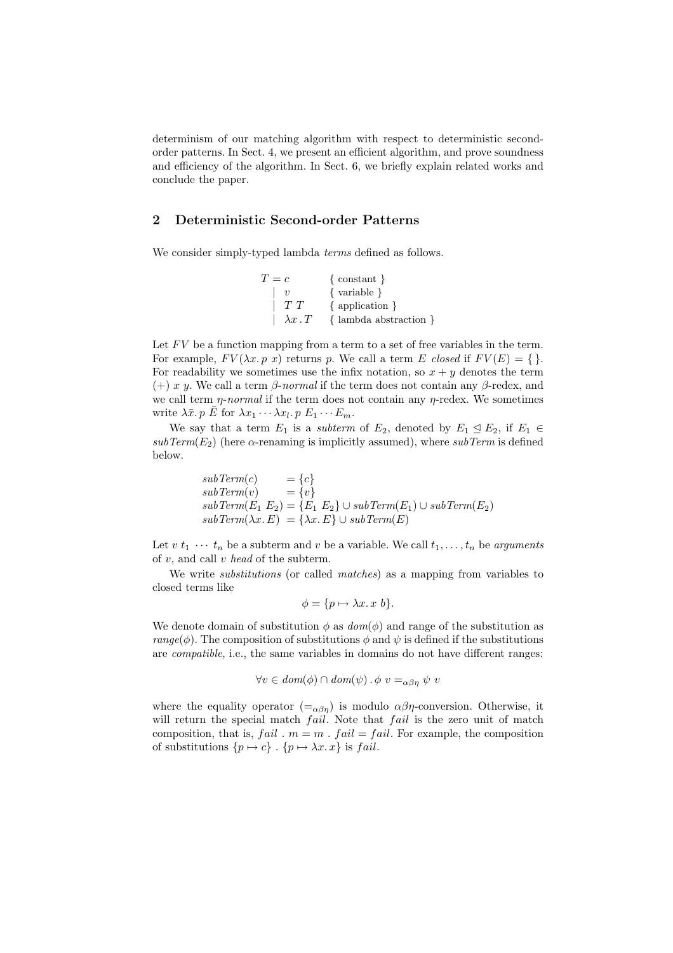determinism of our matching algorithm with respect to deterministic secondorder patterns. In Sect. 4, we present an efficient algorithm, and prove soundness and efficiency of the algorithm. In Sect. 6, we briefly explain related works and conclude the paper.

# 2 Deterministic Second-order Patterns

We consider simply-typed lambda *terms* defined as follows.

$$
T = c \qquad {\text{constant } }
$$
  
\n
$$
\begin{array}{c}\n \mid v \qquad {\text{variable } } \\ \n \mid T T \qquad {\text{application } } \\ \n \lambda x . T \qquad {\text{lambda abstraction } } \n\end{array}
$$

Let  $FV$  be a function mapping from a term to a set of free variables in the term. For example,  $FV(\lambda x. p x)$  returns p. We call a term E closed if  $FV(E) = \{\}.$ For readability we sometimes use the infix notation, so  $x + y$  denotes the term (+) x y. We call a term  $\beta$ -normal if the term does not contain any  $\beta$ -redex, and we call term  $\eta$ -normal if the term does not contain any  $\eta$ -redex. We sometimes write  $\lambda \bar{x}$ . p  $\bar{E}$  for  $\lambda x_1 \cdots \lambda x_l$ . p  $E_1 \cdots E_m$ .

We say that a term  $E_1$  is a *subterm* of  $E_2$ , denoted by  $E_1 \subseteq E_2$ , if  $E_1 \in$  $subTerm(E_2)$  (here  $\alpha$ -renaming is implicitly assumed), where  $subTerm$  is defined below.

$$
subTerm(c) = {c}
$$
  
\n
$$
subTerm(v) = {v}
$$
  
\n
$$
subTerm(E_1 E_2) = {E_1 E_2} \cup subTerm(E_1) \cup subTerm(E_2)
$$
  
\n
$$
subTerm(\lambda x.E) = {\lambda x.E} \cup subTerm(E)
$$

Let  $v t_1 \cdots t_n$  be a subterm and  $v$  be a variable. We call  $t_1, \ldots, t_n$  be arguments of  $v$ , and call  $v$  head of the subterm.

We write *substitutions* (or called *matches*) as a mapping from variables to closed terms like

$$
\phi = \{ p \mapsto \lambda x. \, x \, b \}.
$$

We denote domain of substitution  $\phi$  as  $dom(\phi)$  and range of the substitution as range( $\phi$ ). The composition of substitutions  $\phi$  and  $\psi$  is defined if the substitutions are compatible, i.e., the same variables in domains do not have different ranges:

$$
\forall v \in \text{dom}(\phi) \cap \text{dom}(\psi) \cdot \phi \ v =_{\alpha\beta\eta} \psi \ v
$$

where the equality operator  $(=\alpha\beta\eta)$  is modulo  $\alpha\beta\eta$ -conversion. Otherwise, it will return the special match *fail*. Note that *fail* is the zero unit of match composition, that is,  $fail$ .  $m = m$ .  $fail = fail$ . For example, the composition of substitutions  $\{p \mapsto c\}$ .  $\{p \mapsto \lambda x. x\}$  is fail.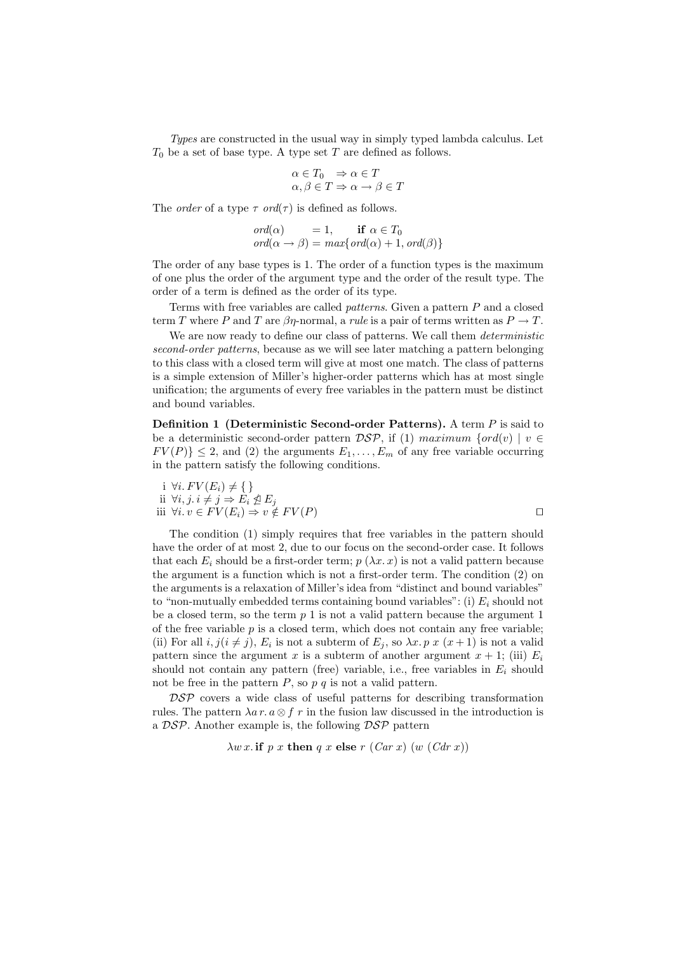Types are constructed in the usual way in simply typed lambda calculus. Let  $T_0$  be a set of base type. A type set T are defined as follows.

$$
\alpha \in T_0 \Rightarrow \alpha \in T
$$
  

$$
\alpha, \beta \in T \Rightarrow \alpha \to \beta \in T
$$

The *order* of a type  $\tau$  *ord*( $\tau$ ) is defined as follows.

$$
ord(\alpha) = 1, \quad \text{if } \alpha \in T_0
$$
  

$$
ord(\alpha \to \beta) = max\{ord(\alpha) + 1, ord(\beta) \}
$$

The order of any base types is 1. The order of a function types is the maximum of one plus the order of the argument type and the order of the result type. The order of a term is defined as the order of its type.

Terms with free variables are called *patterns*. Given a pattern  $P$  and a closed term T where P and T are  $\beta\eta$ -normal, a rule is a pair of terms written as  $P \to T$ .

We are now ready to define our class of patterns. We call them *deterministic* second-order patterns, because as we will see later matching a pattern belonging to this class with a closed term will give at most one match. The class of patterns is a simple extension of Miller's higher-order patterns which has at most single unification; the arguments of every free variables in the pattern must be distinct and bound variables.

Definition 1 (Deterministic Second-order Patterns). A term P is said to be a deterministic second-order pattern  $\mathcal{DSP}$ , if (1) maximum {ord(v) | v  $\in$  $FV(P)$   $\leq$  2, and (2) the arguments  $E_1, \ldots, E_m$  of any free variable occurring in the pattern satisfy the following conditions.

$$
\begin{array}{l}\n\text{i } \forall i. \, FV(E_i) \neq \{\} \\
\text{ii } \forall i, j. \, i \neq j \Rightarrow E_i \nleq E_j \\
\text{iii } \forall i. \, v \in FV(E_i) \Rightarrow v \notin FV(P)\n\end{array} \qquad \qquad \Box
$$

The condition (1) simply requires that free variables in the pattern should have the order of at most 2, due to our focus on the second-order case. It follows that each  $E_i$  should be a first-order term;  $p(\lambda x. x)$  is not a valid pattern because the argument is a function which is not a first-order term. The condition (2) on the arguments is a relaxation of Miller's idea from "distinct and bound variables" to "non-mutually embedded terms containing bound variables": (i)  $E_i$  should not be a closed term, so the term  $p_1$  is not a valid pattern because the argument 1 of the free variable  $p$  is a closed term, which does not contain any free variable; (ii) For all  $i, j(i \neq j)$ ,  $E_i$  is not a subterm of  $E_j$ , so  $\lambda x. p x (x + 1)$  is not a valid pattern since the argument x is a subterm of another argument  $x + 1$ ; (iii)  $E_i$ should not contain any pattern (free) variable, i.e., free variables in  $E_i$  should not be free in the pattern  $P$ , so  $p \, q$  is not a valid pattern.

 $\mathcal{DSP}$  covers a wide class of useful patterns for describing transformation rules. The pattern  $\lambda a r. a \otimes f r$  in the fusion law discussed in the introduction is a  $\mathcal{DSP}$ . Another example is, the following  $\mathcal{DSP}$  pattern

$$
\lambda w x
$$
 if p x then q x else r (*Car* x) (w (*Car* x))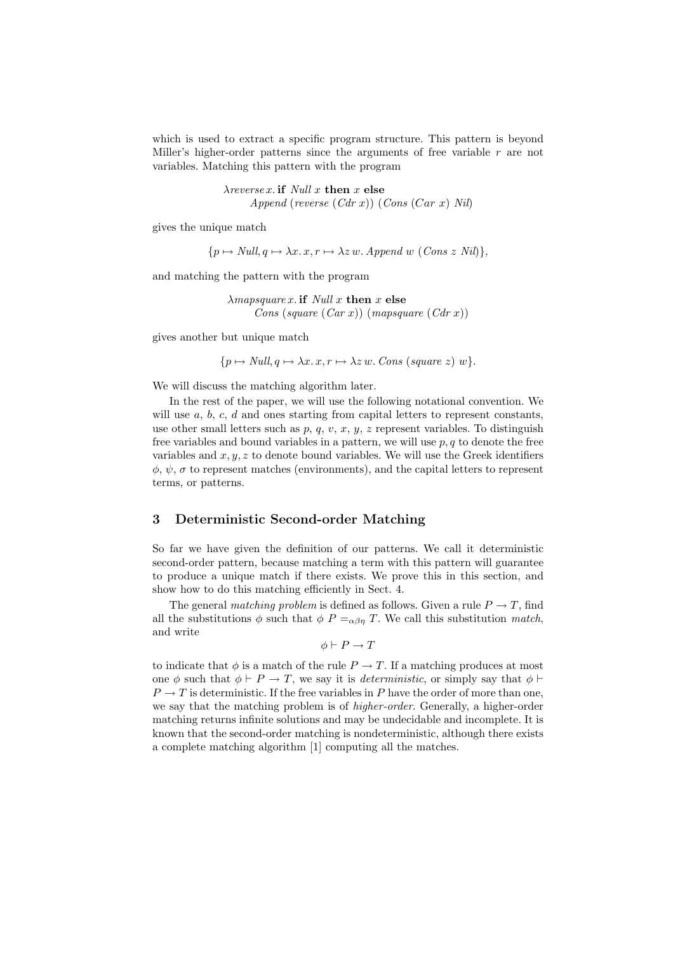which is used to extract a specific program structure. This pattern is beyond Miller's higher-order patterns since the arguments of free variable  $r$  are not variables. Matching this pattern with the program

> $\lambda$ reverse x. if Null x then x else Append (reverse  $(Cdr x)$ ) (Cons  $(Car x)$  Nil)

gives the unique match

 $\{p \mapsto Null, q \mapsto \lambda x. x, r \mapsto \lambda z \, w.$  Append w (Cons z Nil) $\},\$ 

and matching the pattern with the program

 $\lambda$ mapsquare x. if Null x then x else Cons (square  $(Car x)$ ) (mapsquare  $(Cdr x)$ )

gives another but unique match

 ${p \mapsto Null, q \mapsto \lambda x. x, r \mapsto \lambda z \, w. \; Cons \; (square \; z) \; w}.$ 

We will discuss the matching algorithm later.

In the rest of the paper, we will use the following notational convention. We will use  $a, b, c, d$  and ones starting from capital letters to represent constants, use other small letters such as p, q, v, x, y, z represent variables. To distinguish free variables and bound variables in a pattern, we will use  $p, q$  to denote the free variables and  $x, y, z$  to denote bound variables. We will use the Greek identifiers  $\phi, \psi, \sigma$  to represent matches (environments), and the capital letters to represent terms, or patterns.

#### 3 Deterministic Second-order Matching

So far we have given the definition of our patterns. We call it deterministic second-order pattern, because matching a term with this pattern will guarantee to produce a unique match if there exists. We prove this in this section, and show how to do this matching efficiently in Sect. 4.

The general matching problem is defined as follows. Given a rule  $P \to T$ , find all the substitutions  $\phi$  such that  $\phi$  P =<sub>αβη</sub> T. We call this substitution match, and write

$$
\phi \vdash P \to T
$$

to indicate that  $\phi$  is a match of the rule  $P \to T$ . If a matching produces at most one  $\phi$  such that  $\phi \vdash P \to T$ , we say it is *deterministic*, or simply say that  $\phi \vdash$  $P \to T$  is deterministic. If the free variables in P have the order of more than one, we say that the matching problem is of *higher-order*. Generally, a higher-order matching returns infinite solutions and may be undecidable and incomplete. It is known that the second-order matching is nondeterministic, although there exists a complete matching algorithm [1] computing all the matches.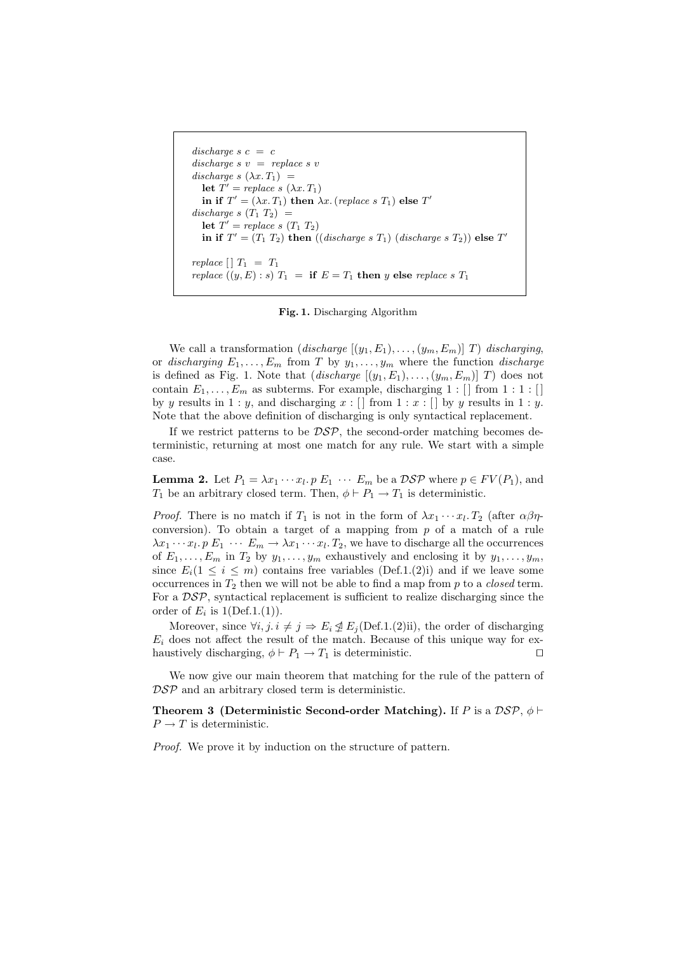```
discharge s \ c = cdischarge s \, v = replace s \, vdischarge s (\lambda x. T_1) =
   let T' = replace\ s\ (\lambda x.\ T_1)in if T' = (\lambda x. T_1) then \lambda x. (replace s T_1) else T'discharge s (T_1 T_2) =
   let T' = replace\ s\ (T_1\ T_2)in if T' = (T_1 \ T_2) then ((discharge \ s \ T_1) \ (discharge \ s \ T_2)) else T'replace [ | T_1 = T_1replace ((y, E) : s) T_1 = \textbf{if } E = T_1 \textbf{ then } y \textbf{ else } replace s T_1
```
Fig. 1. Discharging Algorithm

We call a transformation (discharge  $[(y_1, E_1), \ldots, (y_m, E_m)]$  T) discharging, or discharging  $E_1, \ldots, E_m$  from T by  $y_1, \ldots, y_m$  where the function discharge is defined as Fig. 1. Note that  $(discharge [(y_1, E_1), \ldots, (y_m, E_m)] T)$  does not contain  $E_1, \ldots, E_m$  as subterms. For example, discharging  $1 : [$  from  $1 : 1 : [$ by y results in  $1 : y$ , and discharging  $x : []$  from  $1 : x : []$  by y results in  $1 : y$ . Note that the above definition of discharging is only syntactical replacement.

If we restrict patterns to be  $\mathcal{DSP}$ , the second-order matching becomes deterministic, returning at most one match for any rule. We start with a simple case.

**Lemma 2.** Let  $P_1 = \lambda x_1 \cdots x_l$ .  $p \to L_1 \cdots E_m$  be a  $\mathcal{D}SP$  where  $p \in FV(P_1)$ , and  $T_1$  be an arbitrary closed term. Then,  $\phi \vdash P_1 \to T_1$  is deterministic.

*Proof.* There is no match if  $T_1$  is not in the form of  $\lambda x_1 \cdots x_l$ .  $T_2$  (after  $\alpha \beta \eta$ conversion). To obtain a target of a mapping from  $p$  of a match of a rule  $\lambda x_1 \cdots x_l$ .  $p \to 1 \cdots E_m \to \lambda x_1 \cdots x_l$ .  $T_2$ , we have to discharge all the occurrences of  $E_1, \ldots, E_m$  in  $T_2$  by  $y_1, \ldots, y_m$  exhaustively and enclosing it by  $y_1, \ldots, y_m$ , since  $E_i(1 \leq i \leq m)$  contains free variables (Def.1.(2)i) and if we leave some occurrences in  $T_2$  then we will not be able to find a map from p to a *closed* term. For a  $\mathcal{DSP}$ , syntactical replacement is sufficient to realize discharging since the order of  $E_i$  is  $1(\text{Def.1.}(1)).$ 

Moreover, since  $\forall i, j \in \mathcal{I} \Rightarrow E_i \nsubseteq E_j(\text{Def.1}.(2)$ ii), the order of discharging  $E_i$  does not affect the result of the match. Because of this unique way for exhaustively discharging,  $\phi \vdash P_1 \to T_1$  is deterministic.

We now give our main theorem that matching for the rule of the pattern of  $\mathcal{DSP}$  and an arbitrary closed term is deterministic.

**Theorem 3 (Deterministic Second-order Matching).** If P is a  $\mathcal{DSP}, \phi \vdash$  $P \to T$  is deterministic.

Proof. We prove it by induction on the structure of pattern.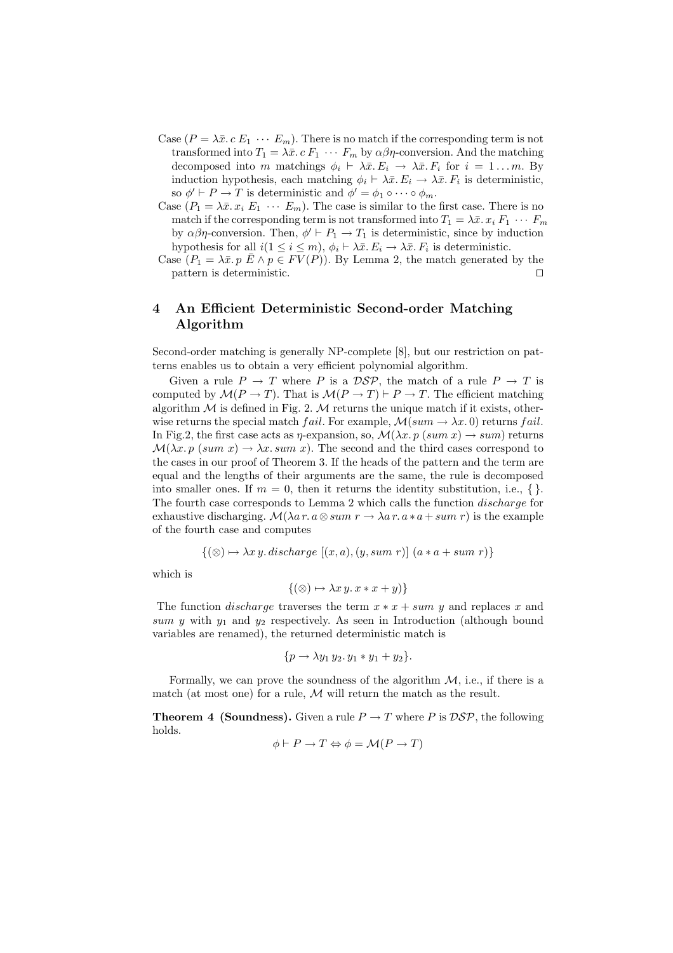- Case  $(P = \lambda \bar{x} \cdot c E_1 \cdots E_m)$ . There is no match if the corresponding term is not transformed into  $T_1 = \lambda \bar{x} \cdot c \cdot F_1 \cdot \cdots \cdot F_m$  by  $\alpha \beta \eta$ -conversion. And the matching decomposed into m matchings  $\phi_i \vdash \lambda \bar{x}. E_i \rightarrow \lambda \bar{x}. F_i$  for  $i = 1...m$ . By induction hypothesis, each matching  $\phi_i \vdash \lambda \bar{x} . E_i \rightarrow \lambda \bar{x} . F_i$  is deterministic, so  $\phi' \vdash P \to T$  is deterministic and  $\phi' = \phi_1 \circ \cdots \circ \phi_m$ .
- Case  $(P_1 = \lambda \bar{x}, x_i E_1 \cdots E_m)$ . The case is similar to the first case. There is no match if the corresponding term is not transformed into  $T_1 = \lambda \bar{x} \cdot x_i \cdot F_1 \cdots F_m$ by  $\alpha\beta\eta$ -conversion. Then,  $\phi' \vdash P_1 \to T_1$  is deterministic, since by induction hypothesis for all  $i(1 \leq i \leq m)$ ,  $\phi_i \vdash \lambda \bar{x}$ .  $E_i \rightarrow \lambda \bar{x}$ .  $F_i$  is deterministic.
- Case  $(P_1 = \lambda \bar{x}, p \bar{E} \wedge p \in FV(P)$ . By Lemma 2, the match generated by the pattern is deterministic.  $\Box$

# 4 An Efficient Deterministic Second-order Matching Algorithm

Second-order matching is generally NP-complete [8], but our restriction on patterns enables us to obtain a very efficient polynomial algorithm.

Given a rule  $P \to T$  where P is a DSP, the match of a rule  $P \to T$  is computed by  $\mathcal{M}(P \to T)$ . That is  $\mathcal{M}(P \to T) \vdash P \to T$ . The efficient matching algorithm  $M$  is defined in Fig. 2.  $M$  returns the unique match if it exists, otherwise returns the special match fail. For example,  $\mathcal{M}(sum \rightarrow \lambda x. 0)$  returns fail. In Fig.2, the first case acts as  $\eta$ -expansion, so,  $\mathcal{M}(\lambda x. p \text{ (sum } x) \rightarrow sum)$  returns  $\mathcal{M}(\lambda x. p \text{ (sum } x) \rightarrow \lambda x. sum x).$  The second and the third cases correspond to the cases in our proof of Theorem 3. If the heads of the pattern and the term are equal and the lengths of their arguments are the same, the rule is decomposed into smaller ones. If  $m = 0$ , then it returns the identity substitution, i.e.,  $\{\}.$ The fourth case corresponds to Lemma 2 which calls the function discharge for exhaustive discharging.  $\mathcal{M}(\lambda a r. a \otimes sum r \rightarrow \lambda a r. a * a + sum r)$  is the example of the fourth case and computes

$$
\{(\otimes) \mapsto \lambda x \, y. \, \text{discharge } [(x, a), (y, sum r)] \, (a * a + sum r) \}
$$

which is

$$
\{(\otimes) \mapsto \lambda x \, y \, x \ast x + y)\}
$$

The function *discharge* traverses the term  $x * x + sum y$  and replaces x and sum y with  $y_1$  and  $y_2$  respectively. As seen in Introduction (although bound variables are renamed), the returned deterministic match is

$$
\{p \rightarrow \lambda y_1 y_2. y_1 * y_1 + y_2\}.
$$

Formally, we can prove the soundness of the algorithm  $M$ , i.e., if there is a match (at most one) for a rule,  $M$  will return the match as the result.

**Theorem 4 (Soundness).** Given a rule  $P \to T$  where P is  $\mathcal{DSP}$ , the following holds.

$$
\phi \vdash P \to T \Leftrightarrow \phi = \mathcal{M}(P \to T)
$$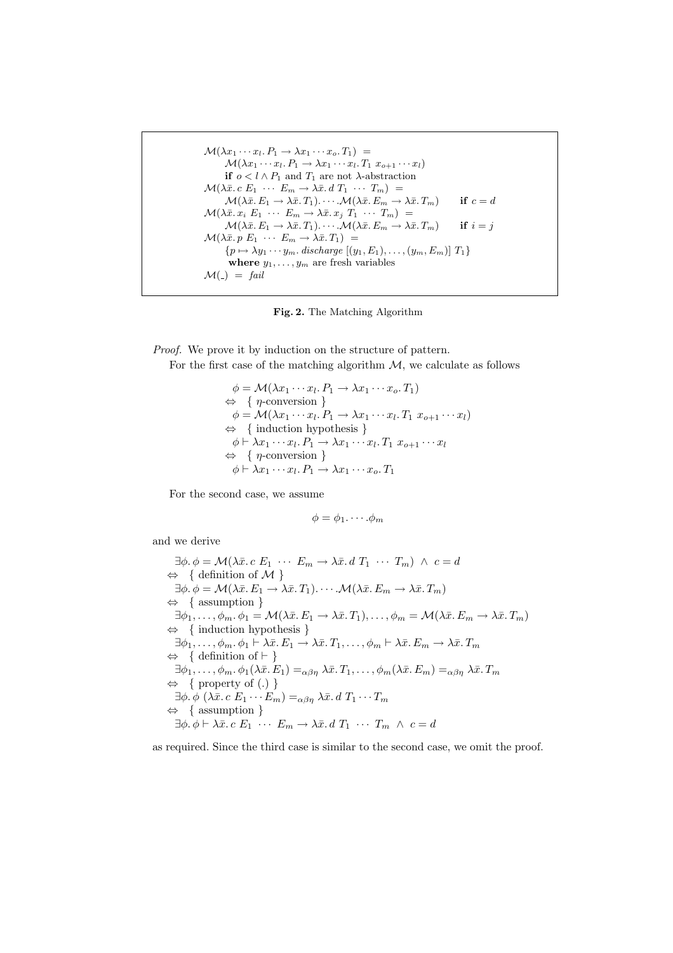```
\mathcal{M}(\lambda x_1 \cdots x_l P_1 \rightarrow \lambda x_1 \cdots x_o T_1) =\mathcal{M}(\lambda x_1 \cdots x_l P_1 \rightarrow \lambda x_1 \cdots x_l T_1 x_{o+1} \cdots x_l)if o < l \wedge P_1 and T_1 are not \lambda-abstraction
\mathcal{M}(\lambda \bar{x} \cdot c \ E_1 \ \cdots \ E_m \to \lambda \bar{x} \cdot d \ T_1 \ \cdots \ T_m) =\mathcal{M}(\lambda \bar{x}. E_1 \to \lambda \bar{x}. T_1).\cdots \mathcal{M}(\lambda \bar{x}. E_m \to \lambda \bar{x}. T_m) if c = d\mathcal{M}(\lambda \bar{x}, x_i E_1 \cdots E_m \rightarrow \lambda \bar{x}, x_j T_1 \cdots T_m) =\mathcal{M}(\lambda \bar{x}, E_1 \to \lambda \bar{x}, T_1) \cdots \mathcal{M}(\lambda \bar{x}, E_m \to \lambda \bar{x}, T_m) if i = j\mathcal{M}(\lambda \bar{x}, p \ E_1 \ \cdots \ E_m \rightarrow \lambda \bar{x}. T_1) =\{p \mapsto \lambda y_1 \cdots y_m \ldotp \text{discharge } [(y_1, E_1), \ldots, (y_m, E_m)] \, T_1\}where y_1, \ldots, y_m are fresh variables
\mathcal{M}(\_) = fail
```
Fig. 2. The Matching Algorithm

Proof. We prove it by induction on the structure of pattern.

For the first case of the matching algorithm  $M$ , we calculate as follows

 $\phi = \mathcal{M}(\lambda x_1 \cdots x_l P_1 \rightarrow \lambda x_1 \cdots x_o T_1)$  $\Leftrightarrow \{ \eta\text{-conversion} \}$  $\phi = \mathcal{M}(\lambda x_1 \cdots x_l P_1 \rightarrow \lambda x_1 \cdots x_l T_1 x_{o+1} \cdots x_l)$ ⇔ { induction hypothesis }  $\phi \vdash \lambda x_1 \cdots x_l$ .  $P_1 \rightarrow \lambda x_1 \cdots x_l$ .  $T_1 x_{o+1} \cdots x_l$  $\Leftrightarrow \{ \eta\text{-conversion } \}$  $\phi \vdash \lambda x_1 \cdots x_l \ldotp P_1 \rightarrow \lambda x_1 \cdots x_o \ldotp T_1$ 

For the second case, we assume

$$
\phi = \phi_1 \cdots \phi_m
$$

and we derive

 $\exists \phi \ldotp \phi = \mathcal{M}(\lambda \bar{x} \ldotp c \; E_1 \; \cdots \; E_m \rightarrow \lambda \bar{x} \ldotp d \; T_1 \; \cdots \; T_m) \; \wedge \; c = d$  $\Leftrightarrow \{ \text{ definition of } \mathcal{M} \}$  $\exists \phi \cdot \phi = \mathcal{M}(\lambda \bar{x}, E_1 \rightarrow \lambda \bar{x}, T_1). \cdots \mathcal{M}(\lambda \bar{x}, E_m \rightarrow \lambda \bar{x}, T_m)$ ⇔ { assumption }  $\exists \phi_1, \ldots, \phi_m, \phi_1 = \mathcal{M}(\lambda \bar{x}, E_1 \to \lambda \bar{x}, T_1), \ldots, \phi_m = \mathcal{M}(\lambda \bar{x}, E_m \to \lambda \bar{x}, T_m)$ ⇔ { induction hypothesis }  $\exists \phi_1, \ldots, \phi_m, \phi_1 \vdash \lambda \bar{x}. E_1 \rightarrow \lambda \bar{x}. T_1, \ldots, \phi_m \vdash \lambda \bar{x}. E_m \rightarrow \lambda \bar{x}. T_m$  $\Leftrightarrow \{ \text{ definition of } \vdash \}$  $\exists \phi_1, \ldots, \phi_m, \phi_1(\lambda \bar{x}. E_1) =_{\alpha \beta \eta} \lambda \bar{x}. T_1, \ldots, \phi_m(\lambda \bar{x}. E_m) =_{\alpha \beta \eta} \lambda \bar{x}. T_m$ ⇔ { property of (.) }  $\exists \phi \ldotp \phi \ (\lambda \bar{x} \ldotp c \; E_1 \cdots E_m) =_{\alpha \beta \eta} \lambda \bar{x} \ldotp d \; T_1 \cdots T_m$ ⇔ { assumption }  $\exists \phi \cdot \phi \vdash \lambda \bar{x} \cdot c \; E_1 \cdots E_m \rightarrow \lambda \bar{x} \cdot d \; T_1 \; \cdots \; T_m \; \wedge \; c = d$ 

as required. Since the third case is similar to the second case, we omit the proof.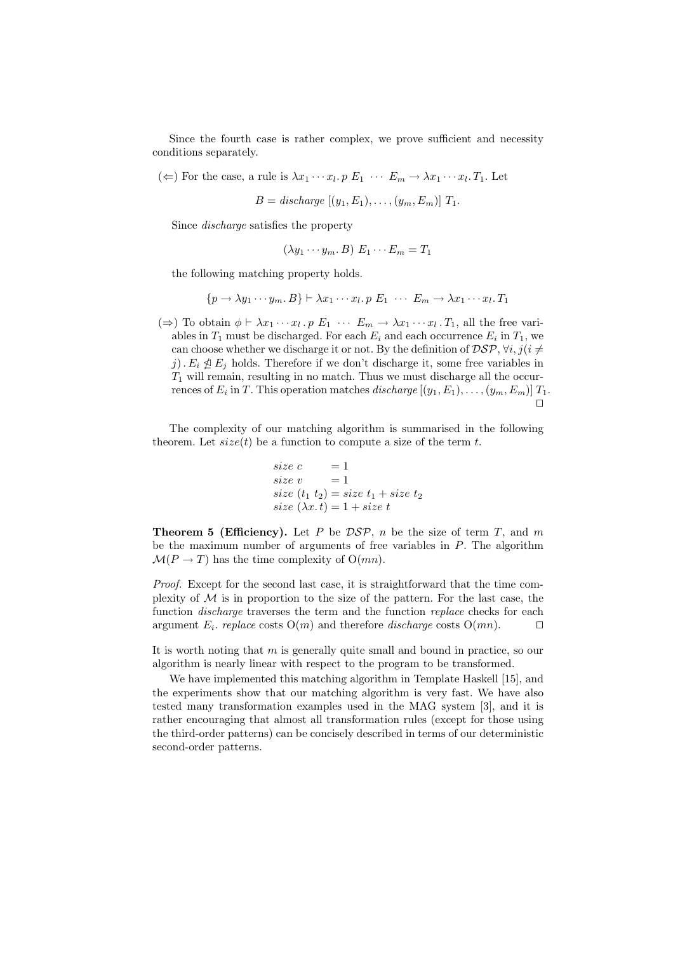Since the fourth case is rather complex, we prove sufficient and necessity conditions separately.

( $\Leftarrow$ ) For the case, a rule is  $\lambda x_1 \cdots x_l$ .  $p \to 1 \cdots E_m \rightarrow \lambda x_1 \cdots x_l$ . Let

 $B = discharge [(y_1, E_1), \ldots, (y_m, E_m)] T_1.$ 

Since discharge satisfies the property

$$
(\lambda y_1 \cdots y_m, B) \mathcal{E}_1 \cdots \mathcal{E}_m = T_1
$$

the following matching property holds.

$$
\{p \to \lambda y_1 \cdots y_m, B\} \vdash \lambda x_1 \cdots x_l. p \ E_1 \ \cdots \ E_m \to \lambda x_1 \cdots x_l. T_1
$$

 $(\Rightarrow)$  To obtain  $\phi \vdash \lambda x_1 \cdots x_l \cdot p \mathbb{E}_1 \cdots \mathbb{E}_m \to \lambda x_1 \cdots x_l \cdot T_1$ , all the free variables in  $T_1$  must be discharged. For each  $E_i$  and each occurrence  $E_i$  in  $T_1$ , we can choose whether we discharge it or not. By the definition of  $\mathcal{DSP}, \forall i, j (i \neq j)$ j).  $E_i \nleq E_j$  holds. Therefore if we don't discharge it, some free variables in  $T_1$  will remain, resulting in no match. Thus we must discharge all the occurrences of  $E_i$  in T. This operation matches *discharge*  $[(y_1, E_1), \ldots, (y_m, E_m)]$   $T_1$ .  $\Box$ 

The complexity of our matching algorithm is summarised in the following theorem. Let  $size(t)$  be a function to compute a size of the term t.

size 
$$
c = 1
$$
  
\nsize  $v = 1$   
\nsize  $(t_1 t_2) = size t_1 + size t_2$   
\nsize  $(\lambda x. t) = 1 + size t$ 

**Theorem 5 (Efficiency).** Let P be  $\mathcal{DSP}$ , n be the size of term T, and m be the maximum number of arguments of free variables in P. The algorithm  $\mathcal{M}(P \to T)$  has the time complexity of  $O(mn)$ .

Proof. Except for the second last case, it is straightforward that the time complexity of  $M$  is in proportion to the size of the pattern. For the last case, the function *discharge* traverses the term and the function *replace* checks for each argument  $E_i$ . replace costs  $O(m)$  and therefore *discharge* costs  $O(mn)$ .  $\Box$ 

It is worth noting that  $m$  is generally quite small and bound in practice, so our algorithm is nearly linear with respect to the program to be transformed.

We have implemented this matching algorithm in Template Haskell [15], and the experiments show that our matching algorithm is very fast. We have also tested many transformation examples used in the MAG system [3], and it is rather encouraging that almost all transformation rules (except for those using the third-order patterns) can be concisely described in terms of our deterministic second-order patterns.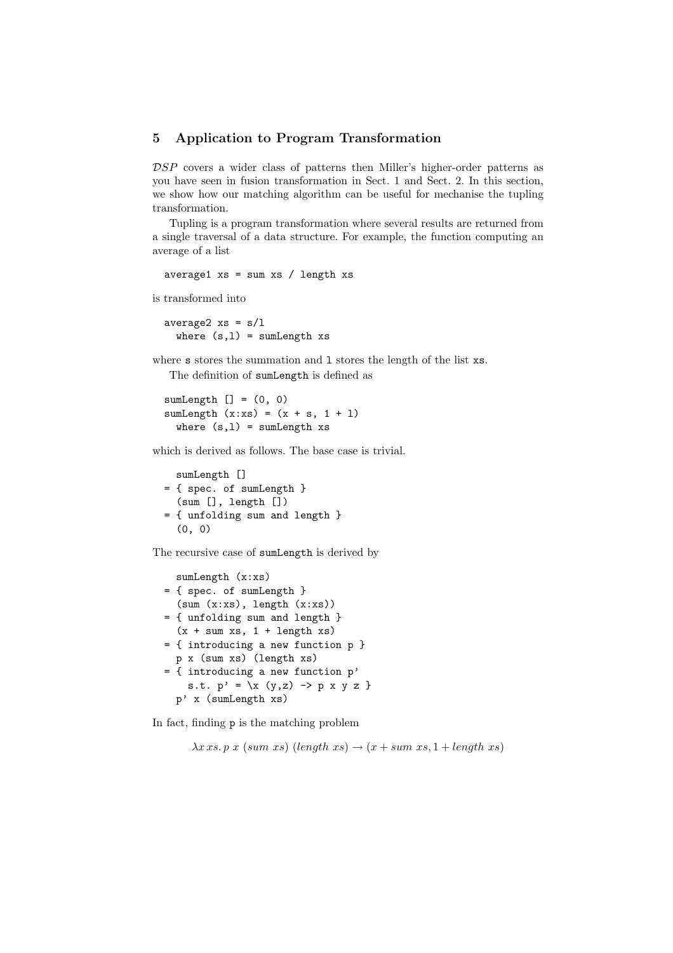#### 5 Application to Program Transformation

DSP covers a wider class of patterns then Miller's higher-order patterns as you have seen in fusion transformation in Sect. 1 and Sect. 2. In this section, we show how our matching algorithm can be useful for mechanise the tupling transformation.

Tupling is a program transformation where several results are returned from a single traversal of a data structure. For example, the function computing an average of a list

average1  $xs = sum xs / length xs$ 

is transformed into

average2  $xs = s/l$ where  $(s,1)$  = sumLength xs

where s stores the summation and 1 stores the length of the list  $xs$ .

The definition of sumLength is defined as

```
sumLength [] = (0, 0)sumLength (x:xs) = (x + s, 1 + 1)where (s,1) = sumLength xs
```
which is derived as follows. The base case is trivial.

```
sumLength []
= { spec. of sumLength }
  (sum [], length [])
= { unfolding sum and length }
  (0, 0)
```
The recursive case of sumLength is derived by

```
sumLength (x:xs)
= { spec. of sumLength }
  (sum(x:xs), length(x:xs))= { unfolding sum and length }
  (x + sum xs, 1 + length xs)= { introducing a new function p }
 p x (sum xs) (length xs)
= { introducing a new function p'
    s.t. p' = \{x (y, z) \rightarrow p x y z \}p' x (sumLength xs)
```
In fact, finding p is the matching problem

 $\lambda x \, xs. \, p \, x \; (sum \; xs) \; (length \; xs) \rightarrow (x + sum \; xs, 1 + length \; xs)$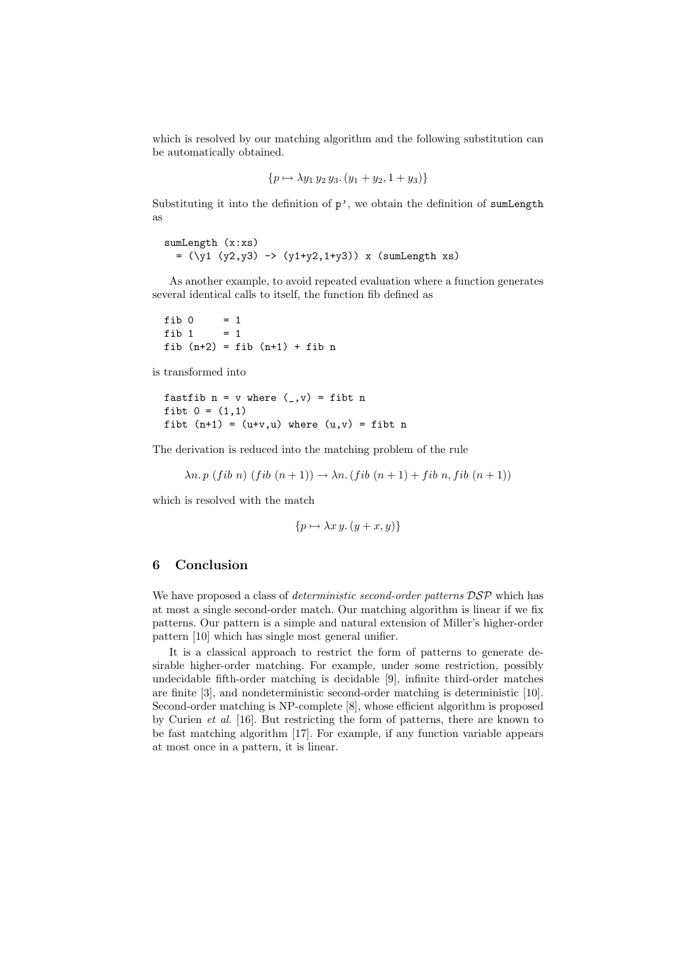which is resolved by our matching algorithm and the following substitution can be automatically obtained.

$$
\{p \mapsto \lambda y_1 \, y_2 \, y_3. \, (y_1 + y_2, 1 + y_3)\}
$$

Substituting it into the definition of  $p'$ , we obtain the definition of sumLength as

```
sumLength (x:xs)
  = (\y1 (y2, y3) \rightarrow (y1+y2, 1+y3)) x (sumLength xs)
```
As another example, to avoid repeated evaluation where a function generates several identical calls to itself, the function fib defined as

fib  $0 = 1$ fib 1 =  $1$ fib  $(n+2)$  = fib  $(n+1)$  + fib n

is transformed into

```
fastfib n = v where (, v) = fibt n
fibt 0 = (1,1)fibt (n+1) = (u+v,u) where (u,v) = fibt n
```
The derivation is reduced into the matching problem of the rule

 $\lambda n. p$  (fib n) (fib  $(n+1) \rightarrow \lambda n.$  (fib  $(n+1) + fib n$ , fib  $(n+1)$ )

which is resolved with the match

$$
\{p \mapsto \lambda x y. (y + x, y)\}\
$$

# 6 Conclusion

We have proposed a class of *deterministic second-order patterns*  $\mathcal{D}S\mathcal{P}$  which has at most a single second-order match. Our matching algorithm is linear if we fix patterns. Our pattern is a simple and natural extension of Miller's higher-order pattern [10] which has single most general unifier.

It is a classical approach to restrict the form of patterns to generate desirable higher-order matching. For example, under some restriction, possibly undecidable fifth-order matching is decidable [9], infinite third-order matches are finite [3], and nondeterministic second-order matching is deterministic [10]. Second-order matching is NP-complete [8], whose efficient algorithm is proposed by Curien et al. [16]. But restricting the form of patterns, there are known to be fast matching algorithm [17]. For example, if any function variable appears at most once in a pattern, it is linear.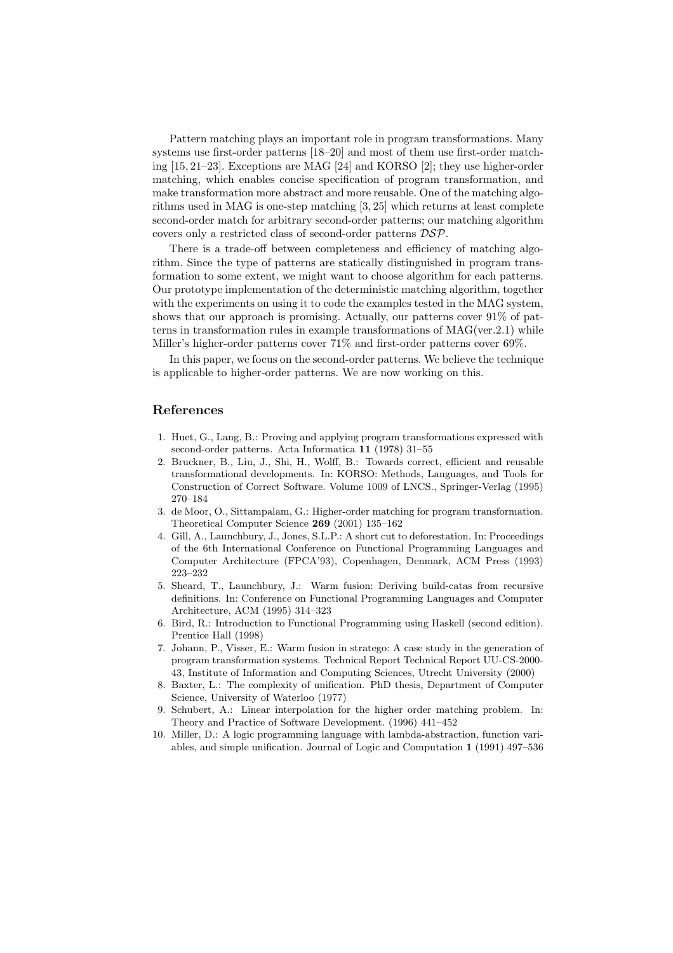Pattern matching plays an important role in program transformations. Many systems use first-order patterns [18–20] and most of them use first-order matching [15, 21–23]. Exceptions are MAG [24] and KORSO [2]; they use higher-order matching, which enables concise specification of program transformation, and make transformation more abstract and more reusable. One of the matching algorithms used in MAG is one-step matching [3, 25] which returns at least complete second-order match for arbitrary second-order patterns; our matching algorithm covers only a restricted class of second-order patterns DSP.

There is a trade-off between completeness and efficiency of matching algorithm. Since the type of patterns are statically distinguished in program transformation to some extent, we might want to choose algorithm for each patterns. Our prototype implementation of the deterministic matching algorithm, together with the experiments on using it to code the examples tested in the MAG system, shows that our approach is promising. Actually, our patterns cover 91% of patterns in transformation rules in example transformations of MAG(ver.2.1) while Miller's higher-order patterns cover 71% and first-order patterns cover 69%.

In this paper, we focus on the second-order patterns. We believe the technique is applicable to higher-order patterns. We are now working on this.

#### References

- 1. Huet, G., Lang, B.: Proving and applying program transformations expressed with second-order patterns. Acta Informatica 11 (1978) 31–55
- 2. Bruckner, B., Liu, J., Shi, H., Wolff, B.: Towards correct, efficient and reusable transformational developments. In: KORSO: Methods, Languages, and Tools for Construction of Correct Software. Volume 1009 of LNCS., Springer-Verlag (1995) 270–184
- 3. de Moor, O., Sittampalam, G.: Higher-order matching for program transformation. Theoretical Computer Science 269 (2001) 135–162
- 4. Gill, A., Launchbury, J., Jones, S.L.P.: A short cut to deforestation. In: Proceedings of the 6th International Conference on Functional Programming Languages and Computer Architecture (FPCA'93), Copenhagen, Denmark, ACM Press (1993) 223–232
- 5. Sheard, T., Launchbury, J.: Warm fusion: Deriving build-catas from recursive definitions. In: Conference on Functional Programming Languages and Computer Architecture, ACM (1995) 314–323
- 6. Bird, R.: Introduction to Functional Programming using Haskell (second edition). Prentice Hall (1998)
- 7. Johann, P., Visser, E.: Warm fusion in stratego: A case study in the generation of program transformation systems. Technical Report Technical Report UU-CS-2000- 43, Institute of Information and Computing Sciences, Utrecht University (2000)
- 8. Baxter, L.: The complexity of unification. PhD thesis, Department of Computer Science, University of Waterloo (1977)
- 9. Schubert, A.: Linear interpolation for the higher order matching problem. In: Theory and Practice of Software Development. (1996) 441–452
- 10. Miller, D.: A logic programming language with lambda-abstraction, function variables, and simple unification. Journal of Logic and Computation 1 (1991) 497–536